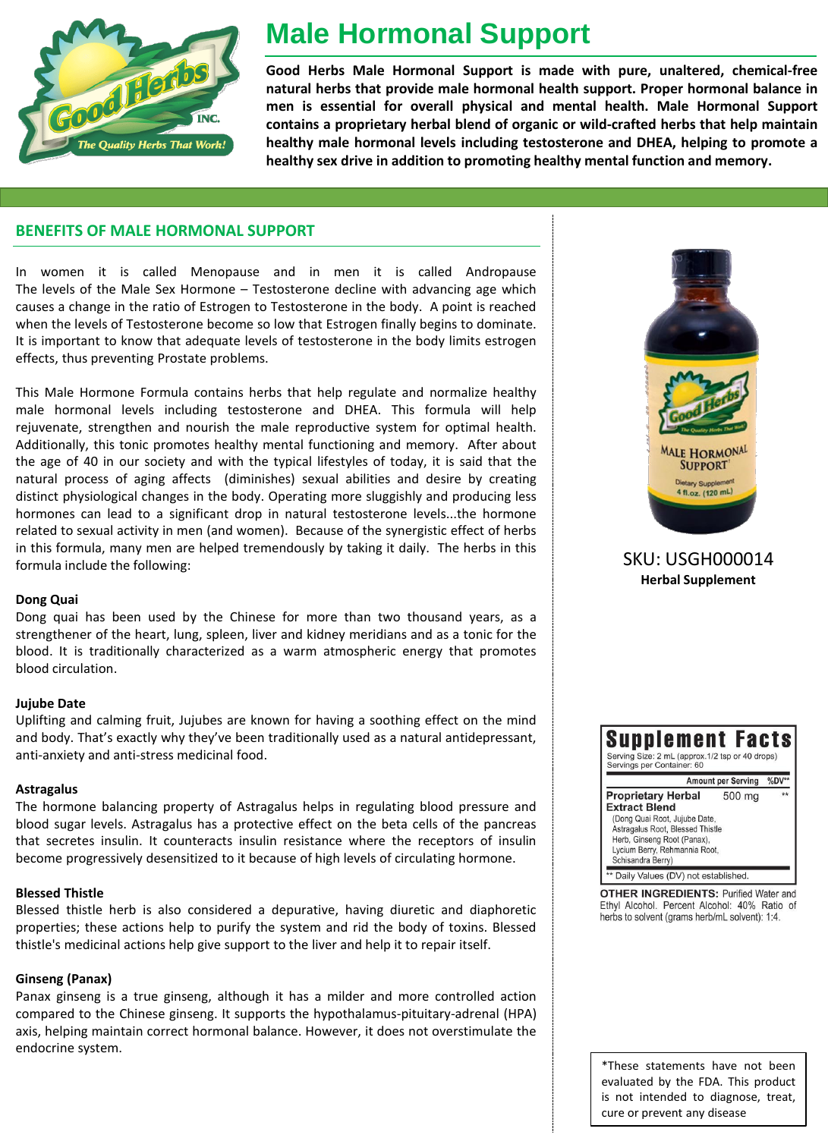

## **Male Hormonal Support**

**Good Herbs Male Hormonal Support is made with pure, unaltered, chemical-free natural herbs that provide male hormonal health support. Proper hormonal balance in men is essential for overall physical and mental health. Male Hormonal Support contains a proprietary herbal blend of organic or wild-crafted herbs that help maintain healthy male hormonal levels including testosterone and DHEA, helping to promote a healthy sex drive in addition to promoting healthy mental function and memory.**

### **BENEFITS OF MALE HORMONAL SUPPORT**

In women it is called Menopause and in men it is called Andropause The levels of the Male Sex Hormone – Testosterone decline with advancing age which causes a change in the ratio of Estrogen to Testosterone in the body. A point is reached when the levels of Testosterone become so low that Estrogen finally begins to dominate. It is important to know that adequate levels of testosterone in the body limits estrogen effects, thus preventing Prostate problems.

This Male Hormone Formula contains herbs that help regulate and normalize healthy male hormonal levels including testosterone and DHEA. This formula will help rejuvenate, strengthen and nourish the male reproductive system for optimal health. Additionally, this tonic promotes healthy mental functioning and memory. After about the age of 40 in our society and with the typical lifestyles of today, it is said that the natural process of aging affects (diminishes) sexual abilities and desire by creating distinct physiological changes in the body. Operating more sluggishly and producing less hormones can lead to a significant drop in natural testosterone levels...the hormone related to sexual activity in men (and women). Because of the synergistic effect of herbs in this formula, many men are helped tremendously by taking it daily. The herbs in this formula include the following:

#### **Dong Quai**

Dong quai has been used by the Chinese for more than two thousand years, as a strengthener of the heart, lung, spleen, liver and kidney meridians and as a tonic for the blood. It is traditionally characterized as a warm atmospheric energy that promotes blood circulation.

#### **Jujube Date**

Uplifting and calming fruit, Jujubes are known for having a soothing effect on the mind and body. That's exactly why they've been traditionally used as a natural antidepressant, anti-anxiety and anti-stress medicinal food.

#### **Astragalus**

The hormone balancing property of Astragalus helps in regulating blood pressure and blood sugar levels. Astragalus has a protective effect on the beta cells of the pancreas that secretes insulin. It counteracts insulin resistance where the receptors of insulin become progressively desensitized to it because of high levels of circulating hormone.

#### **Blessed Thistle**

Blessed thistle herb is also considered a depurative, having diuretic and diaphoretic properties; these actions help to purify the system and rid the body of toxins. Blessed thistle's medicinal actions help give support to the liver and help it to repair itself.

#### **Ginseng (Panax)**

Panax ginseng is a true ginseng, although it has a milder and more controlled action compared to the Chinese ginseng. It supports the hypothalamus-pituitary-adrenal (HPA) axis, helping maintain correct hormonal balance. However, it does not overstimulate the endocrine system.



SKU: USGH000014 **Herbal Supplement**

| <b>Supplement Facts</b><br>Serving Size: 2 mL (approx.1/2 tsp or 40 drops)<br>Servings per Container: 60                                                                                                    |        |     |  |
|-------------------------------------------------------------------------------------------------------------------------------------------------------------------------------------------------------------|--------|-----|--|
| <b>Amount per Serving</b>                                                                                                                                                                                   |        | %DV |  |
| <b>Proprietary Herbal</b><br><b>Extract Blend</b><br>(Dong Quai Root, Jujube Date,<br>Astragalus Root, Blessed Thistle<br>Herb, Ginseng Root (Panax),<br>Lycium Berry, Rehmannia Root,<br>Schisandra Berry) | 500 mg |     |  |

**OTHER INGREDIENTS: Purified Water and** Ethyl Alcohol. Percent Alcohol: 40% Ratio of herbs to solvent (grams herb/mL solvent): 1:4.

\*These statements have not been evaluated by the FDA. This product is not intended to diagnose, treat, cure or prevent any disease